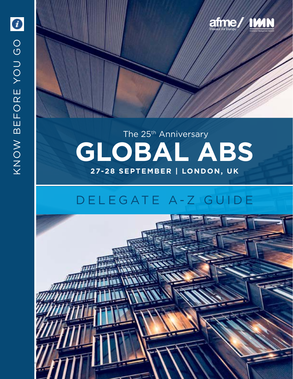

## The 25<sup>th</sup> Anniversary **GLOBAL ABS 27-28 SEPTEMBER | LONDON, UK**

## D E L E G A T E A - Z G U I D E

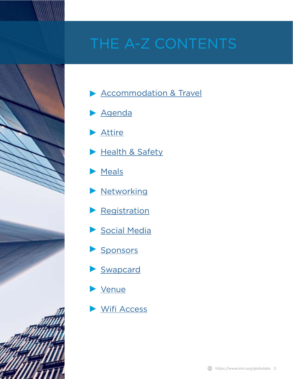# THE A-Z CONTENTS



- **[Accommodation & Travel](#page-2-0)**
- [Agenda](#page-2-0)
- [Attire](#page-2-0)
- [Health & Safety](#page-3-0)
- [Meals](#page-3-0)
- **[Networking](#page-4-0)**
- **[Registration](#page-4-0)**
- [Social Media](#page-5-0)
- [Sponsors](#page-5-0)
- [Swapcard](#page-5-0)
- [Venue](#page-6-0)
- [Wifi Access](#page-6-0)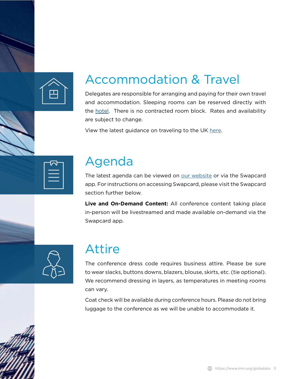<span id="page-2-0"></span>

### Accommodation & Travel

Delegates are responsible for arranging and paying for their own travel and accommodation. Sleeping rooms can be reserved directly with the hotel. There is no contracted room block. Rates and availability are subject to change.

View the latest guidance on traveling to the UK [here](https://www.hilton.com/en/hotels/lonmetw-hilton-london-metropole/).

| ⊣⌒l                                                                             |  |
|---------------------------------------------------------------------------------|--|
| the contract of the contract of the contract of the contract of the contract of |  |
|                                                                                 |  |
|                                                                                 |  |

### Agenda

The latest agenda can be viewed on [our website](https://www.imn.org/structured-finance/conference/Global-ABS-2021/Agenda.html) or via the Swapcard app. For instructions on accessing Swapcard, please visit the Swapcard section further below.

**Live and On-Demand Content:** All conference content taking place in-person will be livestreamed and made available on-demand via the Swapcard app.



### Attire

The conference dress code requires business attire. Please be sure to wear slacks, buttons downs, blazers, blouse, skirts, etc. (tie optional). We recommend dressing in layers, as temperatures in meeting rooms can vary.

Coat check will be available during conference hours. Please do not bring luggage to the conference as we will be unable to accommodate it.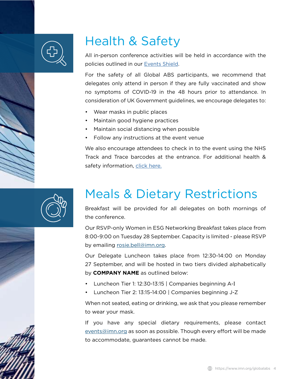<span id="page-3-0"></span>

### Health & Safety

All in-person conference activities will be held in accordance with the policies outlined in our [Events Shield](https://imn-cdn.s3.amazonaws.com/2021/Content/Euromoney+Events+Shield.pdf).

For the safety of all Global ABS participants, we recommend that delegates only attend in person if they are fully vaccinated and show no symptoms of COVID-19 in the 48 hours prior to attendance. In consideration of UK Government guidelines, we encourage delegates to:

- Wear masks in public places
- Maintain good hygiene practices
- Maintain social distancing when possible
- Follow any instructions at the event venue

We also encourage attendees to check in to the event using the NHS Track and Trace barcodes at the entrance. For additional health & safety information, [click here.](https://www.imn.org/structured-finance/conference/Global-ABS-2021/highlight/30431)



### Meals & Dietary Restrictions

Breakfast will be provided for all delegates on both mornings of the conference.

Our RSVP-only Women in ESG Networking Breakfast takes place from 8:00-9:00 on Tuesday 28 September. Capacity is limited - please RSVP by emailing rosie.bell@imn.org.

Our Delegate Luncheon takes place from 12:30-14:00 on Monday 27 September, and will be hosted in two tiers divided alphabetically by **COMPANY NAME** as outlined below:

- Luncheon Tier 1: 12:30-13:15 | Companies beginning A-I
- Luncheon Tier 2: 13:15-14:00 | Companies beginning J-Z

When not seated, eating or drinking, we ask that you please remember to wear your mask.

If you have any special dietary requirements, please contact events@imn.org as soon as possible. Though every effort will be made to accommodate, guarantees cannot be made.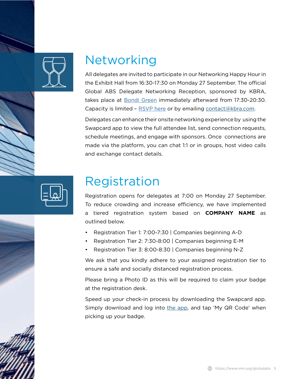<span id="page-4-0"></span>

### Networking

All delegates are invited to participate in our Networking Happy Hour in the Exhibit Hall from 16:30-17:30 on Monday 27 September. The official Global ABS Delegate Networking Reception, sponsored by KBRA, takes place at **Bondi Green** immediately afterward from 17:30-20:30. Capacity is limited – [RSVP here](https://forms.office.com/Pages/ResponsePage.aspx?id=hk0YfZnDBEmylQM8VPpSPrahkHtAqKFPoXiLSE4fKwBUMVRHN1BaUVc0Q0JCNDBPWkpGRllPTzBHRC4u&wdLOR=cE65FCF2A-B140-E542-B632-2EA352FD8400) or by emailing contact@kbra.com.

Delegates can enhance their onsite networking experience by using the Swapcard app to view the full attendee list, send connection requests, schedule meetings, and engage with sponsors. Once connections are made via the platform, you can chat 1:1 or in groups, host video calls and exchange contact details.



### Registration

Registration opens for delegates at 7:00 on Monday 27 September. To reduce crowding and increase efficiency, we have implemented a tiered registration system based on **COMPANY NAME** as outlined below.

- Registration Tier 1: 7:00-7:30 | Companies beginning A-D
- Registration Tier 2: 7:30-8:00 | Companies beginning E-M
- Registration Tier 3: 8:00-8:30 | Companies beginning N-Z

We ask that you kindly adhere to your assigned registration tier to ensure a safe and socially distanced registration process.

Please bring a Photo ID as this will be required to claim your badge at the registration desk.

Speed up your check-in process by downloading the Swapcard app. Simply download and log into the app, and tap 'My QR Code' when picking up your badge.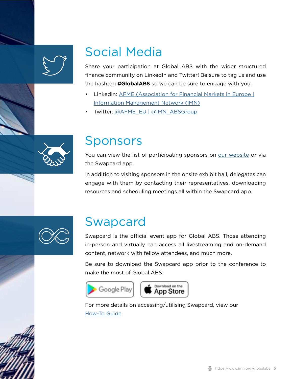<span id="page-5-0"></span>

### Social Media

Share your participation at Global ABS with the wider structured finance community on LinkedIn and Twitter! Be sure to tag us and use the hashtag **#GlobalABS** so we can be sure to engage with you.

- LinkedIn: [AFME \(Association for Financial Markets in Europe |](https://www.linkedin.com/checkpoint/challengesV2/AQEViPSs-YVBdgAAAXvQSLpvTXPwNgah0Sc5d5QSrRoTVGkRoIVw1kpBqhZt-Fda10gZXV3hpImQgq6YuM9vEYZLi54kxetYAA) [Information Management Network \(IMN\)](https://www.linkedin.com/checkpoint/challengesV2/AQEViPSs-YVBdgAAAXvQSLpvTXPwNgah0Sc5d5QSrRoTVGkRoIVw1kpBqhZt-Fda10gZXV3hpImQgq6YuM9vEYZLi54kxetYAA)
- Twitter: [@AFME\\_EU | @IMN\\_ABSGroup](https://twitter.com/IMN_ABSGroup)



#### Sponsors

You can view the list of participating sponsors on our website or via the Swapcard app.

In addition to visiting sponsors in the onsite exhibit hall, delegates can engage with them by contacting their representatives, downloading resources and scheduling meetings all within the Swapcard app.



#### Swapcard

Swapcard is the official event app for Global ABS. Those attending in-person and virtually can access all livestreaming and on-demand content, network with fellow attendees, and much more.

Be sure to download the Swapcard app prior to the conference to make the most of Global ABS:





For more details on accessing/utilising Swapcard, view our [How-To Guide.](https://online.flippingbook.com/view/316231202/)